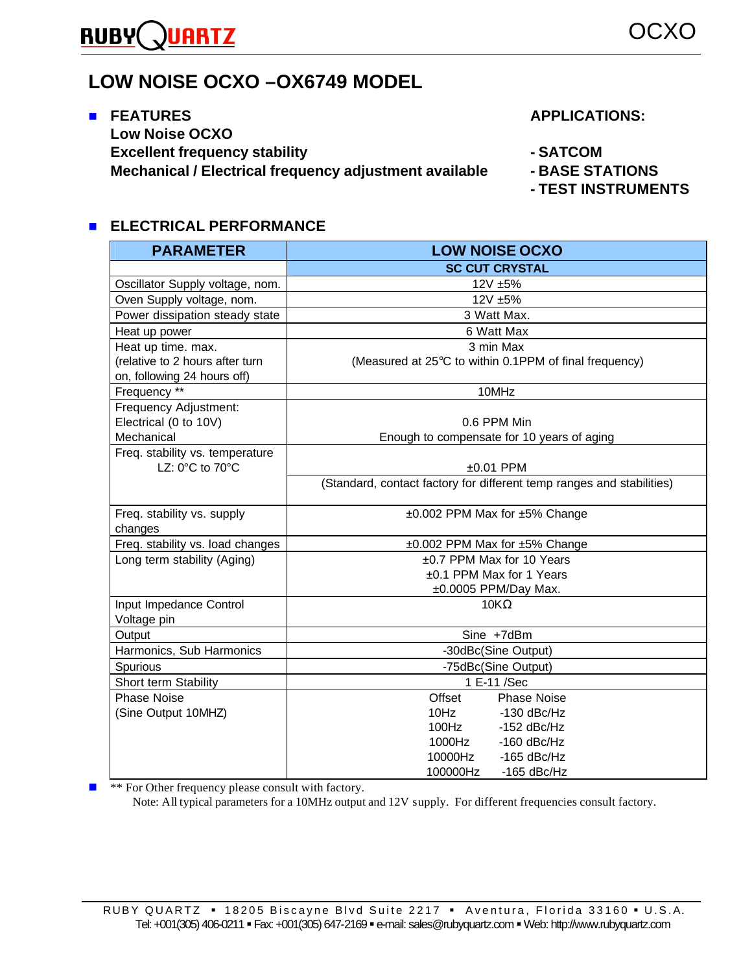#### **RUBY ARTZ**

# **LOW NOISE OCXO –OX6749 MODEL**

#### **n** FEATURES APPLICATIONS: **Low Noise OCXO Excellent frequency stability According to ACCOM Mechanical / Electrical frequency adjustment available - BASE STATIONS**

**- TEST INSTRUMENTS**

#### **ELECTRICAL PERFORMANCE**

| <b>PARAMETER</b>                 | <b>LOW NOISE OCXO</b>                                                 |
|----------------------------------|-----------------------------------------------------------------------|
|                                  | <b>SC CUT CRYSTAL</b>                                                 |
| Oscillator Supply voltage, nom.  | 12V ±5%                                                               |
| Oven Supply voltage, nom.        | 12V ±5%                                                               |
| Power dissipation steady state   | 3 Watt Max.                                                           |
| Heat up power                    | 6 Watt Max                                                            |
| Heat up time. max.               | 3 min Max                                                             |
| (relative to 2 hours after turn  | (Measured at 25°C to within 0.1PPM of final frequency)                |
| on, following 24 hours off)      |                                                                       |
| Frequency **                     | 10MHz                                                                 |
| Frequency Adjustment:            |                                                                       |
| Electrical (0 to 10V)            | 0.6 PPM Min                                                           |
| Mechanical                       | Enough to compensate for 10 years of aging                            |
| Freq. stability vs. temperature  |                                                                       |
| LZ: 0°C to 70°C                  | $±0.01$ PPM                                                           |
|                                  | (Standard, contact factory for different temp ranges and stabilities) |
|                                  |                                                                       |
| Freq. stability vs. supply       | ±0.002 PPM Max for ±5% Change                                         |
| changes                          |                                                                       |
| Freq. stability vs. load changes | ±0.002 PPM Max for ±5% Change                                         |
| Long term stability (Aging)      | $\pm 0.7$ PPM Max for 10 Years                                        |
|                                  | ±0.1 PPM Max for 1 Years                                              |
|                                  | ±0.0005 PPM/Day Max.                                                  |
| Input Impedance Control          | $10K\Omega$                                                           |
| Voltage pin                      |                                                                       |
| Output                           | Sine +7dBm                                                            |
| Harmonics, Sub Harmonics         | -30dBc(Sine Output)                                                   |
| Spurious                         | -75dBc(Sine Output)                                                   |
| Short term Stability             | 1 E-11 /Sec                                                           |
| <b>Phase Noise</b>               | Offset<br><b>Phase Noise</b>                                          |
| (Sine Output 10MHZ)              | 10Hz<br>$-130$ dBc/Hz                                                 |
|                                  | $100$ Hz<br>$-152$ dBc/Hz                                             |
|                                  | 1000Hz<br>$-160$ dBc/Hz                                               |
|                                  | 10000Hz<br>$-165$ dBc/Hz                                              |
|                                  | 100000Hz<br>$-165$ dBc/Hz                                             |

 $\blacksquare$  \*\* For Other frequency please consult with factory.

Note: All typical parameters for a 10MHz output and 12V supply. For different frequencies consult factory.